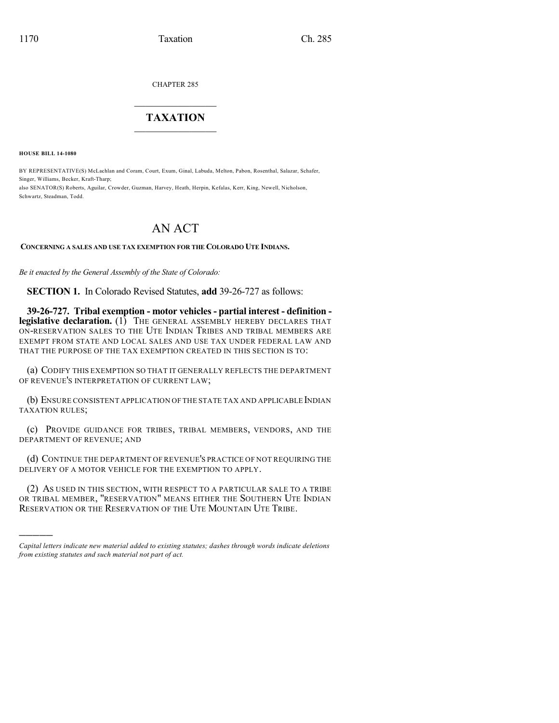CHAPTER 285

## $\overline{\phantom{a}}$  . The set of the set of the set of the set of the set of the set of the set of the set of the set of the set of the set of the set of the set of the set of the set of the set of the set of the set of the set o **TAXATION**  $\_$

**HOUSE BILL 14-1080**

)))))

BY REPRESENTATIVE(S) McLachlan and Coram, Court, Exum, Ginal, Labuda, Melton, Pabon, Rosenthal, Salazar, Schafer, Singer, Williams, Becker, Kraft-Tharp; also SENATOR(S) Roberts, Aguilar, Crowder, Guzman, Harvey, Heath, Herpin, Kefalas, Kerr, King, Newell, Nicholson,

Schwartz, Steadman, Todd.

## AN ACT

## **CONCERNING A SALES AND USE TAX EXEMPTION FOR THE COLORADO UTE INDIANS.**

*Be it enacted by the General Assembly of the State of Colorado:*

**SECTION 1.** In Colorado Revised Statutes, **add** 39-26-727 as follows:

**39-26-727. Tribal exemption - motor vehicles - partial interest - definition legislative declaration.** (1) THE GENERAL ASSEMBLY HEREBY DECLARES THAT ON-RESERVATION SALES TO THE UTE INDIAN TRIBES AND TRIBAL MEMBERS ARE EXEMPT FROM STATE AND LOCAL SALES AND USE TAX UNDER FEDERAL LAW AND THAT THE PURPOSE OF THE TAX EXEMPTION CREATED IN THIS SECTION IS TO:

(a) CODIFY THIS EXEMPTION SO THAT IT GENERALLY REFLECTS THE DEPARTMENT OF REVENUE'S INTERPRETATION OF CURRENT LAW;

(b) ENSURE CONSISTENT APPLICATION OF THE STATE TAX AND APPLICABLE INDIAN TAXATION RULES;

(c) PROVIDE GUIDANCE FOR TRIBES, TRIBAL MEMBERS, VENDORS, AND THE DEPARTMENT OF REVENUE; AND

(d) CONTINUE THE DEPARTMENT OF REVENUE'S PRACTICE OF NOT REQUIRING THE DELIVERY OF A MOTOR VEHICLE FOR THE EXEMPTION TO APPLY.

(2) AS USED IN THIS SECTION, WITH RESPECT TO A PARTICULAR SALE TO A TRIBE OR TRIBAL MEMBER, "RESERVATION" MEANS EITHER THE SOUTHERN UTE INDIAN RESERVATION OR THE RESERVATION OF THE UTE MOUNTAIN UTE TRIBE.

*Capital letters indicate new material added to existing statutes; dashes through words indicate deletions from existing statutes and such material not part of act.*